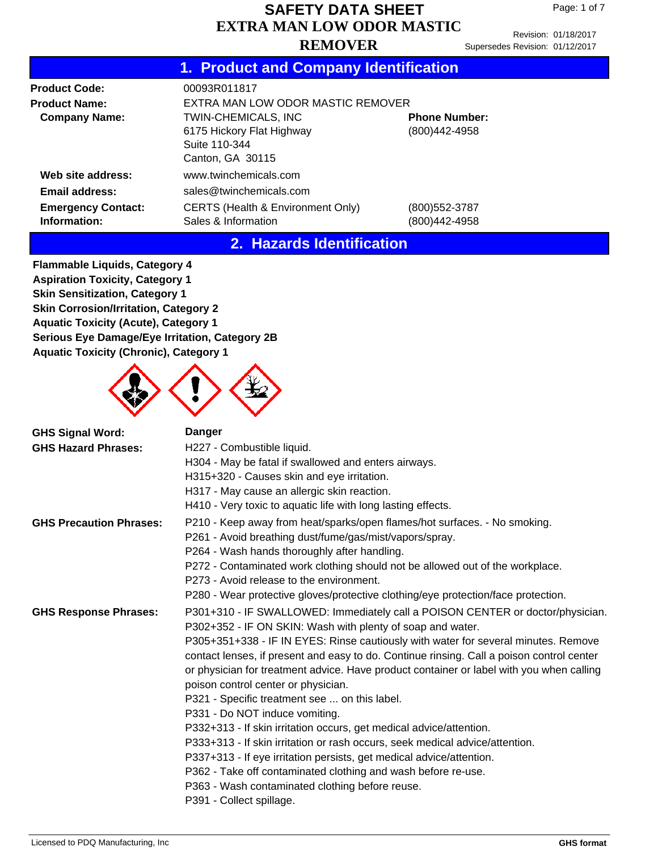Revision: 01/18/2017 Supersedes Revision: 01/12/2017

## **1. Product and Company Identification**

| <b>Product Code:</b>                      | 00093R011817                                                                                                                   |                                 |  |  |  |
|-------------------------------------------|--------------------------------------------------------------------------------------------------------------------------------|---------------------------------|--|--|--|
| <b>Product Name:</b>                      | EXTRA MAN LOW ODOR MASTIC REMOVER                                                                                              |                                 |  |  |  |
| <b>Company Name:</b>                      | TWIN-CHEMICALS, INC<br><b>Phone Number:</b><br>6175 Hickory Flat Highway<br>(800)442-4958<br>Suite 110-344<br>Canton, GA 30115 |                                 |  |  |  |
| Web site address:                         | www.twinchemicals.com                                                                                                          |                                 |  |  |  |
| <b>Email address:</b>                     | sales@twinchemicals.com                                                                                                        |                                 |  |  |  |
| <b>Emergency Contact:</b><br>Information: | CERTS (Health & Environment Only)<br>Sales & Information                                                                       | (800) 552-3787<br>(800)442-4958 |  |  |  |

### **2. Hazards Identification**

**Flammable Liquids, Category 4 Aspiration Toxicity, Category 1 Skin Sensitization, Category 1 Skin Corrosion/Irritation, Category 2 Aquatic Toxicity (Acute), Category 1 Serious Eye Damage/Eye Irritation, Category 2B Aquatic Toxicity (Chronic), Category 1**



| <b>GHS Signal Word:</b><br><b>GHS Hazard Phrases:</b> | <b>Danger</b><br>H227 - Combustible liquid.<br>H304 - May be fatal if swallowed and enters airways.<br>H315+320 - Causes skin and eye irritation.<br>H317 - May cause an allergic skin reaction.<br>H410 - Very toxic to aquatic life with long lasting effects.                                                                                                                                                                                                                                                                                                                                                                                                                                                                                                                                                                                                                                                                     |
|-------------------------------------------------------|--------------------------------------------------------------------------------------------------------------------------------------------------------------------------------------------------------------------------------------------------------------------------------------------------------------------------------------------------------------------------------------------------------------------------------------------------------------------------------------------------------------------------------------------------------------------------------------------------------------------------------------------------------------------------------------------------------------------------------------------------------------------------------------------------------------------------------------------------------------------------------------------------------------------------------------|
| <b>GHS Precaution Phrases:</b>                        | P210 - Keep away from heat/sparks/open flames/hot surfaces. - No smoking.<br>P261 - Avoid breathing dust/fume/gas/mist/vapors/spray.<br>P264 - Wash hands thoroughly after handling.<br>P272 - Contaminated work clothing should not be allowed out of the workplace.<br>P273 - Avoid release to the environment.<br>P280 - Wear protective gloves/protective clothing/eye protection/face protection.                                                                                                                                                                                                                                                                                                                                                                                                                                                                                                                               |
| <b>GHS Response Phrases:</b>                          | P301+310 - IF SWALLOWED: Immediately call a POISON CENTER or doctor/physician.<br>P302+352 - IF ON SKIN: Wash with plenty of soap and water.<br>P305+351+338 - IF IN EYES: Rinse cautiously with water for several minutes. Remove<br>contact lenses, if present and easy to do. Continue rinsing. Call a poison control center<br>or physician for treatment advice. Have product container or label with you when calling<br>poison control center or physician.<br>P321 - Specific treatment see  on this label.<br>P331 - Do NOT induce vomiting.<br>P332+313 - If skin irritation occurs, get medical advice/attention.<br>P333+313 - If skin irritation or rash occurs, seek medical advice/attention.<br>P337+313 - If eye irritation persists, get medical advice/attention.<br>P362 - Take off contaminated clothing and wash before re-use.<br>P363 - Wash contaminated clothing before reuse.<br>P391 - Collect spillage. |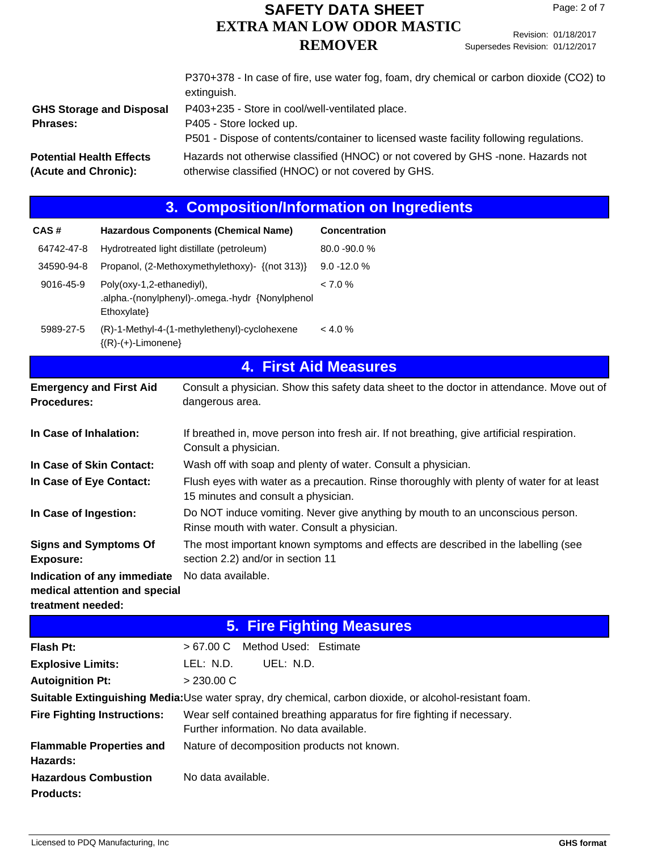Revision: 01/18/2017 Supersedes Revision: 01/12/2017

|                                                         | P370+378 - In case of fire, use water fog, foam, dry chemical or carbon dioxide (CO2) to<br>extinguish.                                                              |
|---------------------------------------------------------|----------------------------------------------------------------------------------------------------------------------------------------------------------------------|
| <b>GHS Storage and Disposal</b><br><b>Phrases:</b>      | P403+235 - Store in cool/well-ventilated place.<br>P405 - Store locked up.<br>P501 - Dispose of contents/container to licensed waste facility following regulations. |
| <b>Potential Health Effects</b><br>(Acute and Chronic): | Hazards not otherwise classified (HNOC) or not covered by GHS -none. Hazards not<br>otherwise classified (HNOC) or not covered by GHS.                               |

|                                                                                                                                              |                                          |                                                                                                                                  | 3. Composition/Information on Ingredients                                                 |  |  |
|----------------------------------------------------------------------------------------------------------------------------------------------|------------------------------------------|----------------------------------------------------------------------------------------------------------------------------------|-------------------------------------------------------------------------------------------|--|--|
| CAS#                                                                                                                                         |                                          | <b>Hazardous Components (Chemical Name)</b>                                                                                      | Concentration                                                                             |  |  |
| 64742-47-8                                                                                                                                   |                                          | Hydrotreated light distillate (petroleum)                                                                                        | 80.0 - 90.0 %                                                                             |  |  |
| 34590-94-8                                                                                                                                   |                                          | Propanol, (2-Methoxymethylethoxy)- {(not 313)}                                                                                   | $9.0 - 12.0 %$                                                                            |  |  |
| 9016-45-9                                                                                                                                    | Poly(oxy-1,2-ethanediyl),<br>Ethoxylate} | .alpha.-(nonylphenyl)-.omega.-hydr {Nonylphenol                                                                                  | < 7.0 %                                                                                   |  |  |
| 5989-27-5                                                                                                                                    | ${(R)-(+)$ -Limonene}                    | (R)-1-Methyl-4-(1-methylethenyl)-cyclohexene                                                                                     | < 4.0 %                                                                                   |  |  |
|                                                                                                                                              |                                          |                                                                                                                                  | <b>4. First Aid Measures</b>                                                              |  |  |
| <b>Emergency and First Aid</b><br>Procedures:                                                                                                |                                          | dangerous area.                                                                                                                  | Consult a physician. Show this safety data sheet to the doctor in attendance. Move out of |  |  |
| If breathed in, move person into fresh air. If not breathing, give artificial respiration.<br>In Case of Inhalation:<br>Consult a physician. |                                          |                                                                                                                                  |                                                                                           |  |  |
| In Case of Skin Contact:                                                                                                                     |                                          | Wash off with soap and plenty of water. Consult a physician.                                                                     |                                                                                           |  |  |
| In Case of Eye Contact:                                                                                                                      |                                          | Flush eyes with water as a precaution. Rinse thoroughly with plenty of water for at least<br>15 minutes and consult a physician. |                                                                                           |  |  |
| In Case of Ingestion:                                                                                                                        |                                          | Rinse mouth with water. Consult a physician.                                                                                     | Do NOT induce vomiting. Never give anything by mouth to an unconscious person.            |  |  |
| <b>Signs and Symptoms Of</b><br><b>Exposure:</b>                                                                                             |                                          | section 2.2) and/or in section 11                                                                                                | The most important known symptoms and effects are described in the labelling (see         |  |  |
| Indication of any immediate<br>No data available.<br>medical attention and special<br>treatment needed:                                      |                                          |                                                                                                                                  |                                                                                           |  |  |
|                                                                                                                                              |                                          |                                                                                                                                  | <b>5. Fire Fighting Measures</b>                                                          |  |  |
| <b>Flash Pt:</b>                                                                                                                             |                                          | >67.00 C<br>Method Used: Estimate                                                                                                |                                                                                           |  |  |
| <b>Explosive Limits:</b>                                                                                                                     |                                          | LEL: N.D.<br>UEL: N.D.                                                                                                           |                                                                                           |  |  |
| <b>Autoignition Pt:</b>                                                                                                                      |                                          | > 230.00 C                                                                                                                       |                                                                                           |  |  |
| Suitable Extinguishing Media:Use water spray, dry chemical, carbon dioxide, or alcohol-resistant foam.                                       |                                          |                                                                                                                                  |                                                                                           |  |  |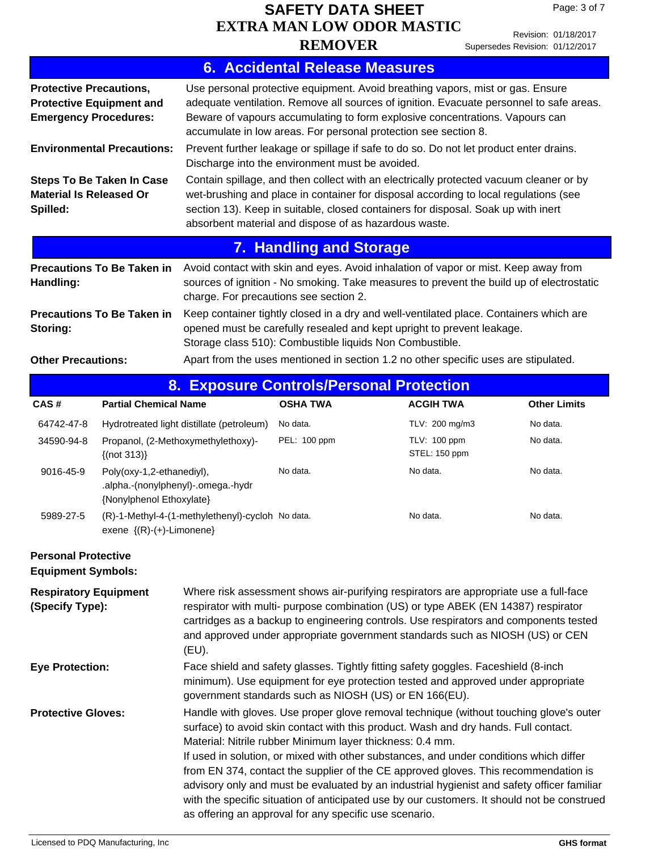Revision: 01/18/2017 Supersedes Revision: 01/12/2017

|                                                                                                   | <b>6. Accidental Release Measures</b>                                                                                                                                                                                                                                                                                        |
|---------------------------------------------------------------------------------------------------|------------------------------------------------------------------------------------------------------------------------------------------------------------------------------------------------------------------------------------------------------------------------------------------------------------------------------|
| <b>Protective Precautions,</b><br><b>Protective Equipment and</b><br><b>Emergency Procedures:</b> | Use personal protective equipment. Avoid breathing vapors, mist or gas. Ensure<br>adequate ventilation. Remove all sources of ignition. Evacuate personnel to safe areas.<br>Beware of vapours accumulating to form explosive concentrations. Vapours can<br>accumulate in low areas. For personal protection see section 8. |
| <b>Environmental Precautions:</b>                                                                 | Prevent further leakage or spillage if safe to do so. Do not let product enter drains.<br>Discharge into the environment must be avoided.                                                                                                                                                                                    |
| <b>Steps To Be Taken In Case</b><br><b>Material Is Released Or</b><br>Spilled:                    | Contain spillage, and then collect with an electrically protected vacuum cleaner or by<br>wet-brushing and place in container for disposal according to local regulations (see<br>section 13). Keep in suitable, closed containers for disposal. Soak up with inert<br>absorbent material and dispose of as hazardous waste. |
|                                                                                                   | <b>7. Handling and Storage</b>                                                                                                                                                                                                                                                                                               |
| <b>Precautions To Be Taken in</b><br>Handling:                                                    | Avoid contact with skin and eyes. Avoid inhalation of vapor or mist. Keep away from<br>sources of ignition - No smoking. Take measures to prevent the build up of electrostatic<br>charge. For precautions see section 2.                                                                                                    |
| <b>Precautions To Be Taken in</b><br>Storing:                                                     | Keep container tightly closed in a dry and well-ventilated place. Containers which are<br>opened must be carefully resealed and kept upright to prevent leakage.<br>Storage class 510): Combustible liquids Non Combustible.                                                                                                 |
| <b>Other Precautions:</b>                                                                         | Apart from the uses mentioned in section 1.2 no other specific uses are stipulated.                                                                                                                                                                                                                                          |

|  | 8. Exposure Controls/Personal Protection |  |  |  |
|--|------------------------------------------|--|--|--|
|  |                                          |  |  |  |
|  |                                          |  |  |  |

| CAS#       | <b>Partial Chemical Name</b>                                                                | <b>OSHA TWA</b> | <b>ACGIH TWA</b>              | <b>Other Limits</b> |
|------------|---------------------------------------------------------------------------------------------|-----------------|-------------------------------|---------------------|
| 64742-47-8 | Hydrotreated light distillate (petroleum)                                                   | No data.        | TLV: 200 mg/m3                | No data.            |
| 34590-94-8 | Propanol, (2-Methoxymethylethoxy)-<br>$\{(not 313)\}$                                       | PEL: 100 ppm    | TLV: 100 ppm<br>STEL: 150 ppm | No data.            |
| 9016-45-9  | Poly(oxy-1,2-ethanediyl),<br>.alpha.-(nonylphenyl)-.omega.-hydr<br>{Nonylphenol Ethoxylate} | No data.        | No data.                      | No data.            |
| 5989-27-5  | (R)-1-Methyl-4-(1-methylethenyl)-cycloh No data.<br>exene $\{(R)-(+)$ -Limonene $\}$        |                 | No data.                      | No data.            |

#### **Personal Protective Equipment Symbols:**

| <b>Respiratory Equipment</b><br>(Specify Type): | Where risk assessment shows air-purifying respirators are appropriate use a full-face<br>respirator with multi- purpose combination (US) or type ABEK (EN 14387) respirator<br>cartridges as a backup to engineering controls. Use respirators and components tested<br>and approved under appropriate government standards such as NIOSH (US) or CEN<br>(EU).                                                                                                                                                                                                                                                                                                                     |
|-------------------------------------------------|------------------------------------------------------------------------------------------------------------------------------------------------------------------------------------------------------------------------------------------------------------------------------------------------------------------------------------------------------------------------------------------------------------------------------------------------------------------------------------------------------------------------------------------------------------------------------------------------------------------------------------------------------------------------------------|
| <b>Eye Protection:</b>                          | Face shield and safety glasses. Tightly fitting safety goggles. Faceshield (8-inch<br>minimum). Use equipment for eye protection tested and approved under appropriate<br>government standards such as NIOSH (US) or EN 166(EU).                                                                                                                                                                                                                                                                                                                                                                                                                                                   |
| <b>Protective Gloves:</b>                       | Handle with gloves. Use proper glove removal technique (without touching glove's outer<br>surface) to avoid skin contact with this product. Wash and dry hands. Full contact.<br>Material: Nitrile rubber Minimum layer thickness: 0.4 mm.<br>If used in solution, or mixed with other substances, and under conditions which differ<br>from EN 374, contact the supplier of the CE approved gloves. This recommendation is<br>advisory only and must be evaluated by an industrial hygienist and safety officer familiar<br>with the specific situation of anticipated use by our customers. It should not be construed<br>as offering an approval for any specific use scenario. |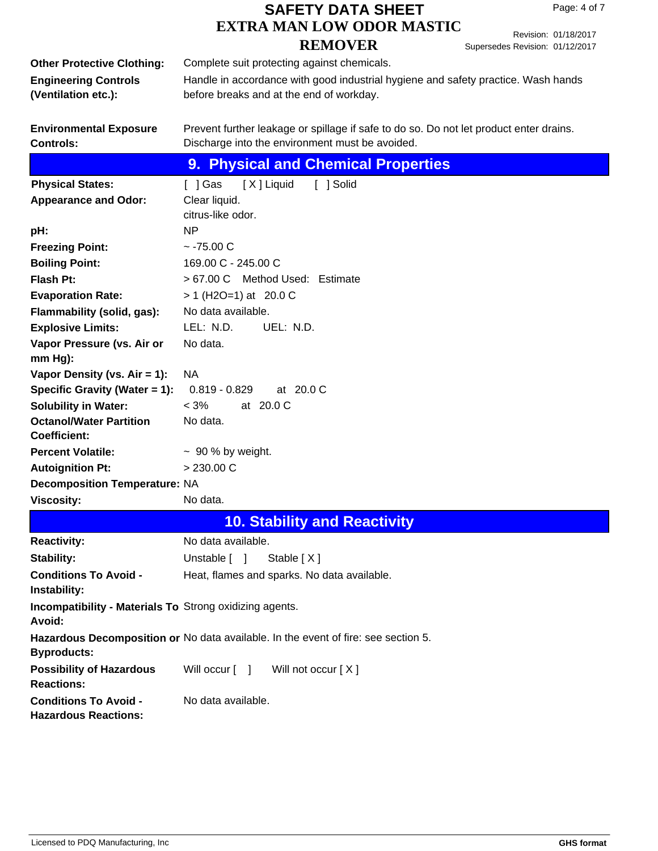Revision: 01/18/2017 Supersedes Revision: 01/12/2017

|                                                                | Ouperseuss ivevision. UT/TZ/ZUTT                                                       |  |  |  |  |  |  |
|----------------------------------------------------------------|----------------------------------------------------------------------------------------|--|--|--|--|--|--|
| <b>Other Protective Clothing:</b>                              | Complete suit protecting against chemicals.                                            |  |  |  |  |  |  |
| <b>Engineering Controls</b>                                    | Handle in accordance with good industrial hygiene and safety practice. Wash hands      |  |  |  |  |  |  |
| (Ventilation etc.):                                            | before breaks and at the end of workday.                                               |  |  |  |  |  |  |
|                                                                |                                                                                        |  |  |  |  |  |  |
|                                                                |                                                                                        |  |  |  |  |  |  |
| <b>Environmental Exposure</b>                                  | Prevent further leakage or spillage if safe to do so. Do not let product enter drains. |  |  |  |  |  |  |
| <b>Controls:</b>                                               | Discharge into the environment must be avoided.                                        |  |  |  |  |  |  |
|                                                                | 9. Physical and Chemical Properties                                                    |  |  |  |  |  |  |
| <b>Physical States:</b>                                        | [ ] Gas<br>[X] Liquid<br>[ ] Solid                                                     |  |  |  |  |  |  |
| <b>Appearance and Odor:</b>                                    | Clear liquid.                                                                          |  |  |  |  |  |  |
|                                                                | citrus-like odor.                                                                      |  |  |  |  |  |  |
| pH:                                                            | NP                                                                                     |  |  |  |  |  |  |
| <b>Freezing Point:</b>                                         | $~-75.00$ C                                                                            |  |  |  |  |  |  |
| <b>Boiling Point:</b>                                          | 169.00 C - 245.00 C                                                                    |  |  |  |  |  |  |
| <b>Flash Pt:</b>                                               | > 67.00 C Method Used: Estimate                                                        |  |  |  |  |  |  |
|                                                                | $> 1$ (H2O=1) at 20.0 C                                                                |  |  |  |  |  |  |
| <b>Evaporation Rate:</b>                                       |                                                                                        |  |  |  |  |  |  |
| Flammability (solid, gas):                                     | No data available.                                                                     |  |  |  |  |  |  |
| <b>Explosive Limits:</b>                                       | LEL: N.D.<br>UEL: N.D.                                                                 |  |  |  |  |  |  |
| Vapor Pressure (vs. Air or                                     | No data.                                                                               |  |  |  |  |  |  |
| $mm Hg$ ):                                                     |                                                                                        |  |  |  |  |  |  |
| Vapor Density (vs. $Air = 1$ ):                                | <b>NA</b>                                                                              |  |  |  |  |  |  |
| Specific Gravity (Water = 1):                                  | $0.819 - 0.829$<br>at 20.0 C                                                           |  |  |  |  |  |  |
| <b>Solubility in Water:</b>                                    | $< 3\%$<br>at 20.0 C                                                                   |  |  |  |  |  |  |
| <b>Octanol/Water Partition</b>                                 | No data.                                                                               |  |  |  |  |  |  |
| <b>Coefficient:</b>                                            |                                                                                        |  |  |  |  |  |  |
| <b>Percent Volatile:</b>                                       | $\sim$ 90 % by weight.                                                                 |  |  |  |  |  |  |
| <b>Autoignition Pt:</b>                                        | > 230.00 C                                                                             |  |  |  |  |  |  |
| <b>Decomposition Temperature: NA</b>                           |                                                                                        |  |  |  |  |  |  |
| <b>Viscosity:</b>                                              | No data.                                                                               |  |  |  |  |  |  |
|                                                                | <b>10. Stability and Reactivity</b>                                                    |  |  |  |  |  |  |
| <b>Reactivity:</b>                                             | No data available.                                                                     |  |  |  |  |  |  |
| Stability:                                                     | Unstable [ ]<br>Stable $[X]$                                                           |  |  |  |  |  |  |
| <b>Conditions To Avoid -</b>                                   | Heat, flames and sparks. No data available.                                            |  |  |  |  |  |  |
| Instability:                                                   |                                                                                        |  |  |  |  |  |  |
| <b>Incompatibility - Materials To Strong oxidizing agents.</b> |                                                                                        |  |  |  |  |  |  |
| Avoid:                                                         |                                                                                        |  |  |  |  |  |  |
|                                                                | Hazardous Decomposition or No data available. In the event of fire: see section 5.     |  |  |  |  |  |  |
| <b>Byproducts:</b>                                             |                                                                                        |  |  |  |  |  |  |
|                                                                |                                                                                        |  |  |  |  |  |  |
| <b>Possibility of Hazardous</b>                                | Will not occur [X]<br>Will occur $\lceil \quad \rceil$                                 |  |  |  |  |  |  |
| <b>Reactions:</b>                                              |                                                                                        |  |  |  |  |  |  |
| <b>Conditions To Avoid -</b>                                   | No data available.                                                                     |  |  |  |  |  |  |
| <b>Hazardous Reactions:</b>                                    |                                                                                        |  |  |  |  |  |  |
|                                                                |                                                                                        |  |  |  |  |  |  |
|                                                                |                                                                                        |  |  |  |  |  |  |
|                                                                |                                                                                        |  |  |  |  |  |  |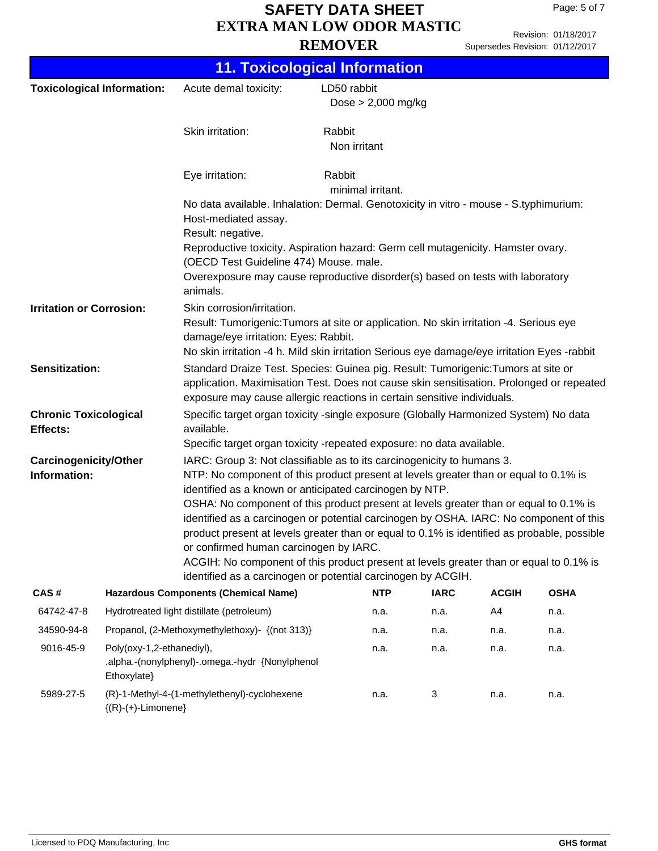Revision: 01/18/2017 Supersedes Revision: 01/12/2017

|                                                                                                                                                                                                                                                                                                                                                                    | <b>11. Toxicological Information</b>                                                        |                                                                                                                                                                                                                                                                                                 |                                     |              |              |                                                                                        |  |
|--------------------------------------------------------------------------------------------------------------------------------------------------------------------------------------------------------------------------------------------------------------------------------------------------------------------------------------------------------------------|---------------------------------------------------------------------------------------------|-------------------------------------------------------------------------------------------------------------------------------------------------------------------------------------------------------------------------------------------------------------------------------------------------|-------------------------------------|--------------|--------------|----------------------------------------------------------------------------------------|--|
|                                                                                                                                                                                                                                                                                                                                                                    | <b>Toxicological Information:</b>                                                           | Acute demal toxicity:                                                                                                                                                                                                                                                                           | LD50 rabbit<br>Dose $> 2,000$ mg/kg |              |              |                                                                                        |  |
|                                                                                                                                                                                                                                                                                                                                                                    |                                                                                             | Skin irritation:                                                                                                                                                                                                                                                                                | Rabbit<br>Non irritant              |              |              |                                                                                        |  |
|                                                                                                                                                                                                                                                                                                                                                                    |                                                                                             | Eye irritation:                                                                                                                                                                                                                                                                                 | Rabbit<br>minimal irritant.         |              |              |                                                                                        |  |
|                                                                                                                                                                                                                                                                                                                                                                    |                                                                                             | No data available. Inhalation: Dermal. Genotoxicity in vitro - mouse - S.typhimurium:<br>Host-mediated assay.                                                                                                                                                                                   |                                     |              |              |                                                                                        |  |
|                                                                                                                                                                                                                                                                                                                                                                    |                                                                                             | Result: negative.<br>Reproductive toxicity. Aspiration hazard: Germ cell mutagenicity. Hamster ovary.<br>(OECD Test Guideline 474) Mouse. male.                                                                                                                                                 |                                     |              |              |                                                                                        |  |
|                                                                                                                                                                                                                                                                                                                                                                    |                                                                                             | Overexposure may cause reproductive disorder(s) based on tests with laboratory<br>animals.                                                                                                                                                                                                      |                                     |              |              |                                                                                        |  |
| <b>Irritation or Corrosion:</b>                                                                                                                                                                                                                                                                                                                                    |                                                                                             | Skin corrosion/irritation.<br>Result: Tumorigenic: Tumors at site or application. No skin irritation -4. Serious eye<br>damage/eye irritation: Eyes: Rabbit.<br>No skin irritation -4 h. Mild skin irritation Serious eye damage/eye irritation Eyes -rabbit                                    |                                     |              |              |                                                                                        |  |
| <b>Sensitization:</b>                                                                                                                                                                                                                                                                                                                                              |                                                                                             | Standard Draize Test. Species: Guinea pig. Result: Tumorigenic: Tumors at site or<br>application. Maximisation Test. Does not cause skin sensitisation. Prolonged or repeated<br>exposure may cause allergic reactions in certain sensitive individuals.                                        |                                     |              |              |                                                                                        |  |
| <b>Chronic Toxicological</b><br>Effects:                                                                                                                                                                                                                                                                                                                           |                                                                                             | Specific target organ toxicity -single exposure (Globally Harmonized System) No data<br>available.<br>Specific target organ toxicity -repeated exposure: no data available.                                                                                                                     |                                     |              |              |                                                                                        |  |
| IARC: Group 3: Not classifiable as to its carcinogenicity to humans 3.<br><b>Carcinogenicity/Other</b><br>NTP: No component of this product present at levels greater than or equal to 0.1% is<br>Information:<br>identified as a known or anticipated carcinogen by NTP.<br>OSHA: No component of this product present at levels greater than or equal to 0.1% is |                                                                                             |                                                                                                                                                                                                                                                                                                 |                                     |              |              | identified as a carcinogen or potential carcinogen by OSHA. IARC: No component of this |  |
|                                                                                                                                                                                                                                                                                                                                                                    |                                                                                             | product present at levels greater than or equal to 0.1% is identified as probable, possible<br>or confirmed human carcinogen by IARC.<br>ACGIH: No component of this product present at levels greater than or equal to 0.1% is<br>identified as a carcinogen or potential carcinogen by ACGIH. |                                     |              |              |                                                                                        |  |
| CAS#                                                                                                                                                                                                                                                                                                                                                               |                                                                                             | <b>Hazardous Components (Chemical Name)</b>                                                                                                                                                                                                                                                     | <b>NTP</b>                          | <b>IARC</b>  | <b>ACGIH</b> | <b>OSHA</b>                                                                            |  |
| 64742-47-8                                                                                                                                                                                                                                                                                                                                                         |                                                                                             | Hydrotreated light distillate (petroleum)                                                                                                                                                                                                                                                       | n.a.                                | n.a.         | A4           | n.a.                                                                                   |  |
| 34590-94-8                                                                                                                                                                                                                                                                                                                                                         |                                                                                             | Propanol, (2-Methoxymethylethoxy)- {(not 313)}                                                                                                                                                                                                                                                  | n.a.                                | n.a.         | n.a.         | n.a.                                                                                   |  |
| 9016-45-9                                                                                                                                                                                                                                                                                                                                                          | Poly(oxy-1,2-ethanediyl),<br>.alpha.-(nonylphenyl)-.omega.-hydr {Nonylphenol<br>Ethoxylate} |                                                                                                                                                                                                                                                                                                 |                                     | n.a.<br>n.a. | n.a.         | n.a.                                                                                   |  |
| 5989-27-5                                                                                                                                                                                                                                                                                                                                                          | ${(R)-(+)$ -Limonene}                                                                       | (R)-1-Methyl-4-(1-methylethenyl)-cyclohexene                                                                                                                                                                                                                                                    | n.a.                                | 3            | n.a.         | n.a.                                                                                   |  |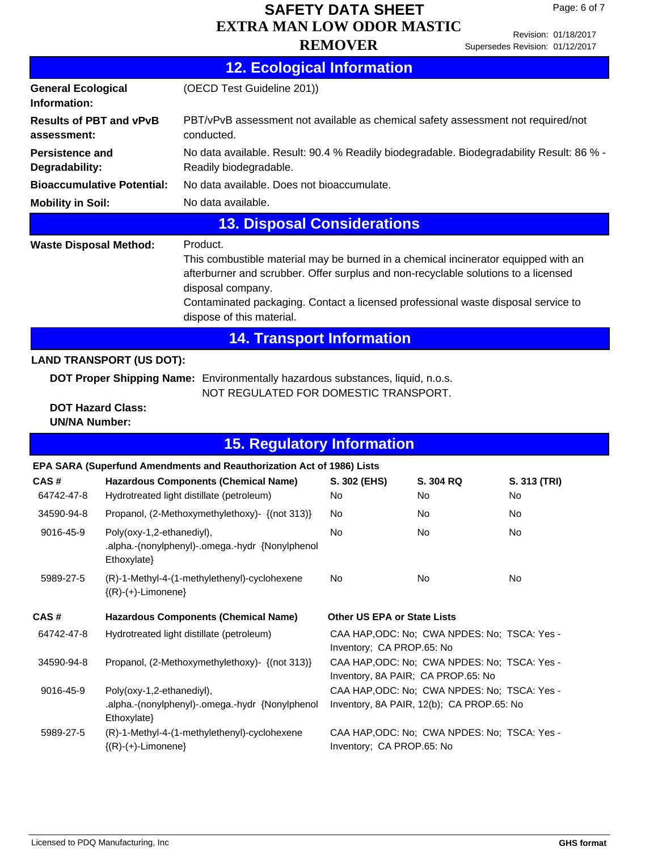Page: 6 of 7

|  |  | 12. Ecological Information |  |
|--|--|----------------------------|--|
|  |  |                            |  |

| <b>General Ecological</b><br>Information:        |                                             | (OECD Test Guideline 201))                                                                                                                                                                                                                                                                                                  |                             |                                                                                           |                    |  |  |  |
|--------------------------------------------------|---------------------------------------------|-----------------------------------------------------------------------------------------------------------------------------------------------------------------------------------------------------------------------------------------------------------------------------------------------------------------------------|-----------------------------|-------------------------------------------------------------------------------------------|--------------------|--|--|--|
| <b>Results of PBT and vPvB</b><br>assessment:    |                                             | PBT/vPvB assessment not available as chemical safety assessment not required/not<br>conducted.                                                                                                                                                                                                                              |                             |                                                                                           |                    |  |  |  |
| <b>Persistence and</b><br>Degradability:         |                                             | No data available. Result: 90.4 % Readily biodegradable. Biodegradability Result: 86 % -<br>Readily biodegradable.                                                                                                                                                                                                          |                             |                                                                                           |                    |  |  |  |
|                                                  | <b>Bioaccumulative Potential:</b>           | No data available. Does not bioaccumulate.                                                                                                                                                                                                                                                                                  |                             |                                                                                           |                    |  |  |  |
| <b>Mobility in Soil:</b>                         |                                             | No data available.                                                                                                                                                                                                                                                                                                          |                             |                                                                                           |                    |  |  |  |
|                                                  |                                             | <b>13. Disposal Considerations</b>                                                                                                                                                                                                                                                                                          |                             |                                                                                           |                    |  |  |  |
| <b>Waste Disposal Method:</b>                    |                                             | Product.<br>This combustible material may be burned in a chemical incinerator equipped with an<br>afterburner and scrubber. Offer surplus and non-recyclable solutions to a licensed<br>disposal company.<br>Contaminated packaging. Contact a licensed professional waste disposal service to<br>dispose of this material. |                             |                                                                                           |                    |  |  |  |
|                                                  |                                             | <b>14. Transport Information</b>                                                                                                                                                                                                                                                                                            |                             |                                                                                           |                    |  |  |  |
|                                                  | <b>LAND TRANSPORT (US DOT):</b>             |                                                                                                                                                                                                                                                                                                                             |                             |                                                                                           |                    |  |  |  |
|                                                  |                                             | DOT Proper Shipping Name: Environmentally hazardous substances, liquid, n.o.s.<br>NOT REGULATED FOR DOMESTIC TRANSPORT.                                                                                                                                                                                                     |                             |                                                                                           |                    |  |  |  |
| <b>DOT Hazard Class:</b><br><b>UN/NA Number:</b> |                                             |                                                                                                                                                                                                                                                                                                                             |                             |                                                                                           |                    |  |  |  |
|                                                  |                                             | <b>15. Regulatory Information</b>                                                                                                                                                                                                                                                                                           |                             |                                                                                           |                    |  |  |  |
|                                                  |                                             | EPA SARA (Superfund Amendments and Reauthorization Act of 1986) Lists                                                                                                                                                                                                                                                       |                             |                                                                                           |                    |  |  |  |
| CAS#<br>64742-47-8                               |                                             | <b>Hazardous Components (Chemical Name)</b><br>Hydrotreated light distillate (petroleum)                                                                                                                                                                                                                                    | S. 302 (EHS)<br>No.         | S. 304 RQ<br>No                                                                           | S. 313 (TRI)<br>No |  |  |  |
| 34590-94-8                                       |                                             | Propanol, (2-Methoxymethylethoxy)- {(not 313)}                                                                                                                                                                                                                                                                              | No.                         | No.                                                                                       | No                 |  |  |  |
| 9016-45-9                                        | Poly(oxy-1,2-ethanediyl),<br>$Ethoxylate\}$ | .alpha.-(nonylphenyl)-.omega.-hydr {Nonylphenol                                                                                                                                                                                                                                                                             | <b>No</b>                   | No                                                                                        | No                 |  |  |  |
| 5989-27-5                                        | ${(R)-(+)$ -Limonene}                       | (R)-1-Methyl-4-(1-methylethenyl)-cyclohexene                                                                                                                                                                                                                                                                                | No                          | No.                                                                                       | No                 |  |  |  |
| CAS#                                             |                                             | <b>Hazardous Components (Chemical Name)</b>                                                                                                                                                                                                                                                                                 | Other US EPA or State Lists |                                                                                           |                    |  |  |  |
| 64742-47-8                                       |                                             | Hydrotreated light distillate (petroleum)                                                                                                                                                                                                                                                                                   | Inventory; CA PROP.65: No   | CAA HAP, ODC: No; CWA NPDES: No; TSCA: Yes -                                              |                    |  |  |  |
| 34590-94-8                                       |                                             | Propanol, (2-Methoxymethylethoxy)- {(not 313)}                                                                                                                                                                                                                                                                              |                             | CAA HAP, ODC: No; CWA NPDES: No; TSCA: Yes -<br>Inventory, 8A PAIR; CA PROP.65: No        |                    |  |  |  |
| 9016-45-9                                        | Poly(oxy-1,2-ethanediyl),<br>Ethoxylate}    | .alpha.-(nonylphenyl)-.omega.-hydr {Nonylphenol                                                                                                                                                                                                                                                                             |                             | CAA HAP, ODC: No; CWA NPDES: No; TSCA: Yes -<br>Inventory, 8A PAIR, 12(b); CA PROP.65: No |                    |  |  |  |
| 5989-27-5                                        | ${(R)-(+)$ -Limonene}                       | (R)-1-Methyl-4-(1-methylethenyl)-cyclohexene                                                                                                                                                                                                                                                                                | Inventory; CA PROP.65: No   | CAA HAP, ODC: No; CWA NPDES: No; TSCA: Yes -                                              |                    |  |  |  |
|                                                  |                                             |                                                                                                                                                                                                                                                                                                                             |                             |                                                                                           |                    |  |  |  |